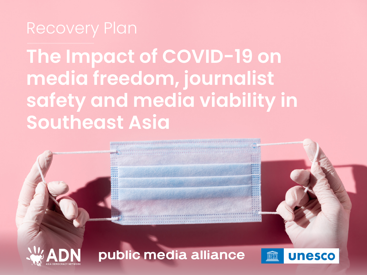### Recovery Plan

**The Impact of COVID-19 on media freedom, journalist safety and media viability in Southeast Asia**

#### public media alliance

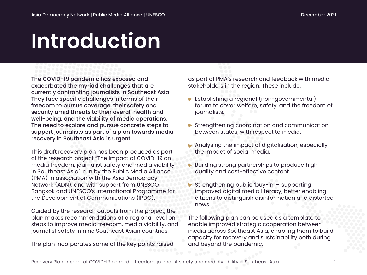## **Introduction**

The COVID-19 pandemic has exposed and exacerbated the myriad challenges that are currently confronting journalists in Southeast Asia. They face specific challenges in terms of their freedom to pursue coverage, their safety and security amid threats to their overall health and well-being, and the viability of media operations. The need to explore and pursue concrete steps to support journalists as part of a plan towards media recovery in Southeast Asia is urgent.

This draft recovery plan has been produced as part of the research project "The Impact of COVID-19 on media freedom, journalist safety and media viability in Southeast Asia", run by the Public Media Alliance (PMA) in association with the Asia Democracy Network (ADN), and with support from UNESCO Bangkok and UNESCO's International Programme for the Development of Communications (IPDC).

Guided by the research outputs from the project, the plan makes recommendations at a regional level on steps to improve media freedom, media viability, and journalist safety in nine Southeast Asian countries.

The plan incorporates some of the key points raised

as part of PMA's research and feedback with media stakeholders in the region. These include:

- ▶ Establishing a regional (non-governmental) forum to cover welfare, safety, and the freedom of journalists.
- Strengthening coordination and communication between states, with respect to media.
- Analysing the impact of digitalisation, especially the impact of social media.
- **Building strong partnerships to produce high** quality and cost-effective content.
- Strengthening public 'buy-in' supporting improved digital media literacy, better enabling citizens to distinguish disinformation and distorted news.

The following plan can be used as a template to enable improved strategic cooperation between media across Southeast Asia, enabling them to build capacity for recovery and sustainability both during and beyond the pandemic.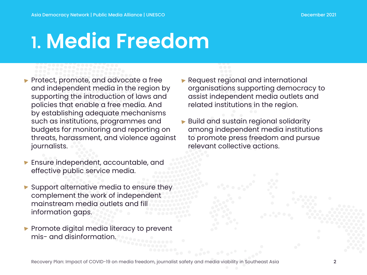## **1. Media Freedom**

- Protect, promote, and advocate a free and independent media in the region by supporting the introduction of laws and policies that enable a free media. And by establishing adequate mechanisms such as institutions, programmes and budgets for monitoring and reporting on threats, harassment, and violence against journalists.
- **Ensure independent, accountable, and** effective public service media.
- Support alternative media to ensure they complement the work of independent mainstream media outlets and fill information gaps.
- $\blacktriangleright$  Promote digital media literacy to prevent mis- and disinformation.

#### Request regional and international organisations supporting democracy to assist independent media outlets and related institutions in the region.

**Build and sustain regional solidarity** among independent media institutions to promote press freedom and pursue relevant collective actions.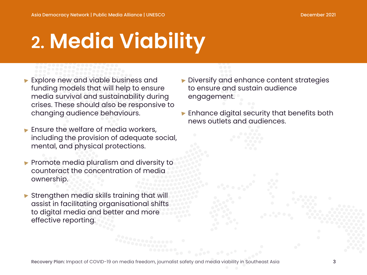# **2. Media Viability**

- **Explore new and viable business and** funding models that will help to ensure media survival and sustainability during crises. These should also be responsive to changing audience behaviours.
- $\blacktriangleright$  Ensure the welfare of media workers, including the provision of adequate social, mental, and physical protections.
- **Promote media pluralism and diversity to** counteract the concentration of media ownership.
- Strengthen media skills training that will assist in facilitating organisational shifts to digital media and better and more effective reporting.
- Diversify and enhance content strategies to ensure and sustain audience engagement.
- **Enhance digital security that benefits both** news outlets and audiences.